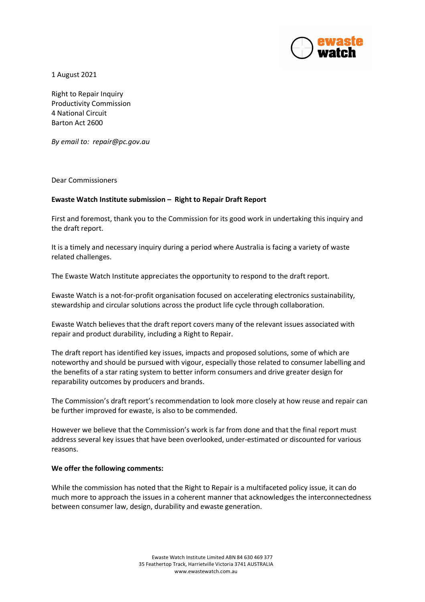

1 August 2021

Right to Repair Inquiry Productivity Commission 4 National Circuit Barton Act 2600

*By email to: repair@pc.gov.au*

Dear Commissioners

## **Ewaste Watch Institute submission – Right to Repair Draft Report**

First and foremost, thank you to the Commission for its good work in undertaking this inquiry and the draft report.

It is a timely and necessary inquiry during a period where Australia is facing a variety of waste related challenges.

The Ewaste Watch Institute appreciates the opportunity to respond to the draft report.

Ewaste Watch is a not-for-profit organisation focused on accelerating electronics sustainability, stewardship and circular solutions across the product life cycle through collaboration.

Ewaste Watch believes that the draft report covers many of the relevant issues associated with repair and product durability, including a Right to Repair.

The draft report has identified key issues, impacts and proposed solutions, some of which are noteworthy and should be pursued with vigour, especially those related to consumer labelling and the benefits of a star rating system to better inform consumers and drive greater design for reparability outcomes by producers and brands.

The Commission's draft report's recommendation to look more closely at how reuse and repair can be further improved for ewaste, is also to be commended.

However we believe that the Commission's work is far from done and that the final report must address several key issues that have been overlooked, under-estimated or discounted for various reasons.

## **We offer the following comments:**

While the commission has noted that the Right to Repair is a multifaceted policy issue, it can do much more to approach the issues in a coherent manner that acknowledges the interconnectedness between consumer law, design, durability and ewaste generation.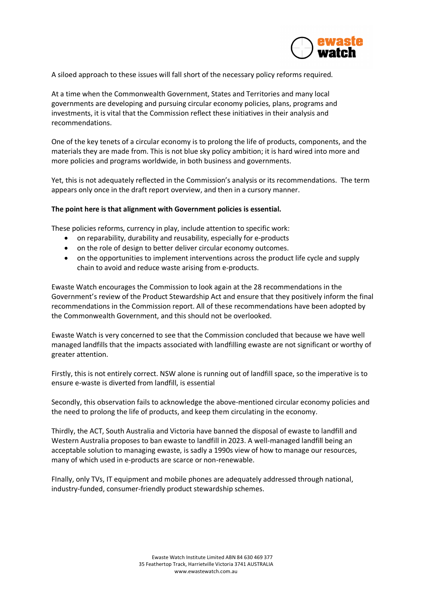

A siloed approach to these issues will fall short of the necessary policy reforms required.

At a time when the Commonwealth Government, States and Territories and many local governments are developing and pursuing circular economy policies, plans, programs and investments, it is vital that the Commission reflect these initiatives in their analysis and recommendations.

One of the key tenets of a circular economy is to prolong the life of products, components, and the materials they are made from. This is not blue sky policy ambition; it is hard wired into more and more policies and programs worldwide, in both business and governments.

Yet, this is not adequately reflected in the Commission's analysis or its recommendations. The term appears only once in the draft report overview, and then in a cursory manner.

## **The point here is that alignment with Government policies is essential.**

These policies reforms, currency in play, include attention to specific work:

- on reparability, durability and reusability, especially for e-products
- on the role of design to better deliver circular economy outcomes.
- on the opportunities to implement interventions across the product life cycle and supply chain to avoid and reduce waste arising from e-products.

Ewaste Watch encourages the Commission to look again at the 28 recommendations in the Government's review of the Product Stewardship Act and ensure that they positively inform the final recommendations in the Commission report. All of these recommendations have been adopted by the Commonwealth Government, and this should not be overlooked.

Ewaste Watch is very concerned to see that the Commission concluded that because we have well managed landfills that the impacts associated with landfilling ewaste are not significant or worthy of greater attention.

Firstly, this is not entirely correct. NSW alone is running out of landfill space, so the imperative is to ensure e-waste is diverted from landfill, is essential

Secondly, this observation fails to acknowledge the above-mentioned circular economy policies and the need to prolong the life of products, and keep them circulating in the economy.

Thirdly, the ACT, South Australia and Victoria have banned the disposal of ewaste to landfill and Western Australia proposes to ban ewaste to landfill in 2023. A well-managed landfill being an acceptable solution to managing ewaste, is sadly a 1990s view of how to manage our resources, many of which used in e-products are scarce or non-renewable.

FInally, only TVs, IT equipment and mobile phones are adequately addressed through national, industry-funded, consumer-friendly product stewardship schemes.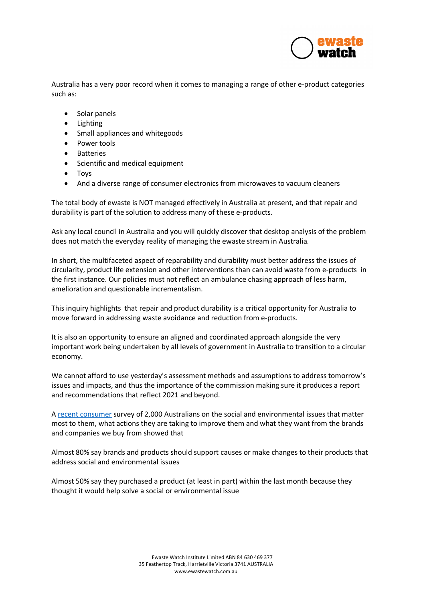

Australia has a very poor record when it comes to managing a range of other e-product categories such as:

- Solar panels
- Lighting
- Small appliances and whitegoods
- Power tools
- Batteries
- Scientific and medical equipment
- Toys
- And a diverse range of consumer electronics from microwaves to vacuum cleaners

The total body of ewaste is NOT managed effectively in Australia at present, and that repair and durability is part of the solution to address many of these e-products.

Ask any local council in Australia and you will quickly discover that desktop analysis of the problem does not match the everyday reality of managing the ewaste stream in Australia.

In short, the multifaceted aspect of reparability and durability must better address the issues of circularity, product life extension and other interventions than can avoid waste from e-products in the first instance. Our policies must not reflect an ambulance chasing approach of less harm, amelioration and questionable incrementalism.

This inquiry highlights that repair and product durability is a critical opportunity for Australia to move forward in addressing waste avoidance and reduction from e-products.

It is also an opportunity to ensure an aligned and coordinated approach alongside the very important work being undertaken by all levels of government in Australia to transition to a circular economy.

We cannot afford to use yesterday's assessment methods and assumptions to address tomorrow's issues and impacts, and thus the importance of the commission making sure it produces a report and recommendations that reflect 2021 and beyond.

A recent consumer survey of 2,000 Australians on the social and environmental issues that matter most to them, what actions they are taking to improve them and what they want from the brands and companies we buy from showed that

Almost 80% say brands and products should support causes or make changes to their products that address social and environmental issues

Almost 50% say they purchased a product (at least in part) within the last month because they thought it would help solve a social or environmental issue